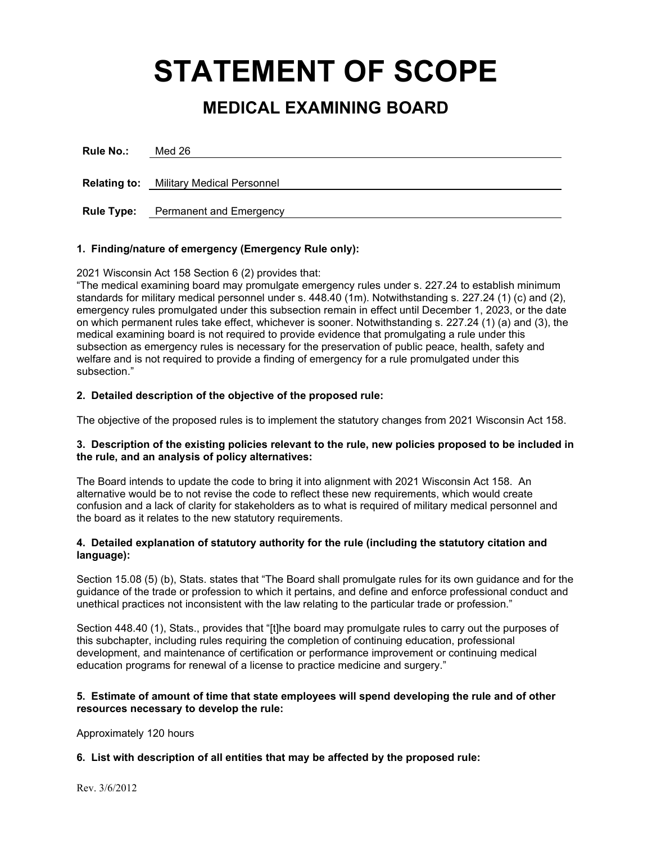# **STATEMENT OF SCOPE**

# **MEDICAL EXAMINING BOARD**

| <b>Rule No.:</b>  | Med 26                                         |
|-------------------|------------------------------------------------|
|                   | <b>Relating to:</b> Military Medical Personnel |
| <b>Rule Type:</b> | <b>Permanent and Emergency</b>                 |

# **1. Finding/nature of emergency (Emergency Rule only):**

2021 Wisconsin Act 158 Section 6 (2) provides that:

"The medical examining board may promulgate emergency rules under s. 227.24 to establish minimum standards for military medical personnel under s. 448.40 (1m). Notwithstanding s. 227.24 (1) (c) and (2), emergency rules promulgated under this subsection remain in effect until December 1, 2023, or the date on which permanent rules take effect, whichever is sooner. Notwithstanding s. 227.24 (1) (a) and (3), the medical examining board is not required to provide evidence that promulgating a rule under this subsection as emergency rules is necessary for the preservation of public peace, health, safety and welfare and is not required to provide a finding of emergency for a rule promulgated under this subsection."

## **2. Detailed description of the objective of the proposed rule:**

The objective of the proposed rules is to implement the statutory changes from 2021 Wisconsin Act 158.

## **3. Description of the existing policies relevant to the rule, new policies proposed to be included in the rule, and an analysis of policy alternatives:**

The Board intends to update the code to bring it into alignment with 2021 Wisconsin Act 158. An alternative would be to not revise the code to reflect these new requirements, which would create confusion and a lack of clarity for stakeholders as to what is required of military medical personnel and the board as it relates to the new statutory requirements.

# **4. Detailed explanation of statutory authority for the rule (including the statutory citation and language):**

Section 15.08 (5) (b), Stats. states that "The Board shall promulgate rules for its own guidance and for the guidance of the trade or profession to which it pertains, and define and enforce professional conduct and unethical practices not inconsistent with the law relating to the particular trade or profession."

Section 448.40 (1), Stats., provides that "[t]he board may promulgate rules to carry out the purposes of this subchapter, including rules requiring the completion of continuing education, professional development, and maintenance of certification or performance improvement or continuing medical education programs for renewal of a license to practice medicine and surgery."

## **5. Estimate of amount of time that state employees will spend developing the rule and of other resources necessary to develop the rule:**

Approximately 120 hours

# **6. List with description of all entities that may be affected by the proposed rule:**